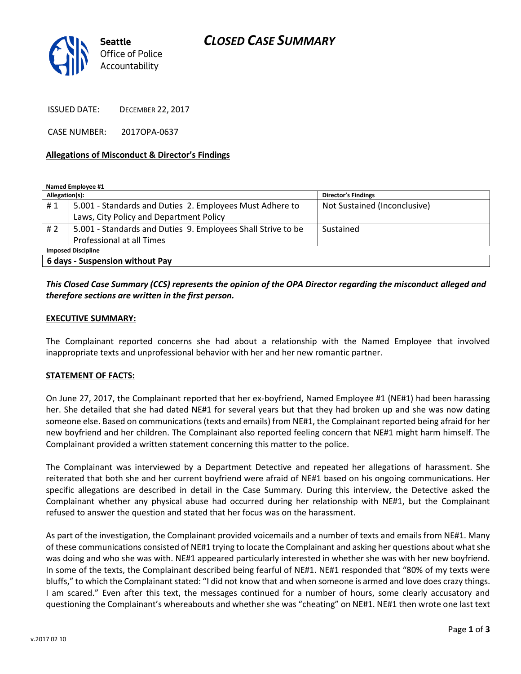# *CLOSED CASE SUMMARY*



ISSUED DATE: DECEMBER 22, 2017

CASE NUMBER: 2017OPA-0637

#### **Allegations of Misconduct & Director's Findings**

**Named Employee #1**

| Allegation(s):                  |                                                              | <b>Director's Findings</b>   |
|---------------------------------|--------------------------------------------------------------|------------------------------|
| #1                              | 5.001 - Standards and Duties 2. Employees Must Adhere to     | Not Sustained (Inconclusive) |
|                                 | Laws, City Policy and Department Policy                      |                              |
| #2                              | 5.001 - Standards and Duties 9. Employees Shall Strive to be | Sustained                    |
|                                 | Professional at all Times                                    |                              |
| <b>Imposed Discipline</b>       |                                                              |                              |
| 6 days - Suspension without Pay |                                                              |                              |

### *This Closed Case Summary (CCS) represents the opinion of the OPA Director regarding the misconduct alleged and therefore sections are written in the first person.*

#### **EXECUTIVE SUMMARY:**

The Complainant reported concerns she had about a relationship with the Named Employee that involved inappropriate texts and unprofessional behavior with her and her new romantic partner.

### **STATEMENT OF FACTS:**

On June 27, 2017, the Complainant reported that her ex-boyfriend, Named Employee #1 (NE#1) had been harassing her. She detailed that she had dated NE#1 for several years but that they had broken up and she was now dating someone else. Based on communications (texts and emails) from NE#1, the Complainant reported being afraid for her new boyfriend and her children. The Complainant also reported feeling concern that NE#1 might harm himself. The Complainant provided a written statement concerning this matter to the police.

The Complainant was interviewed by a Department Detective and repeated her allegations of harassment. She reiterated that both she and her current boyfriend were afraid of NE#1 based on his ongoing communications. Her specific allegations are described in detail in the Case Summary. During this interview, the Detective asked the Complainant whether any physical abuse had occurred during her relationship with NE#1, but the Complainant refused to answer the question and stated that her focus was on the harassment.

As part of the investigation, the Complainant provided voicemails and a number of texts and emails from NE#1. Many of these communications consisted of NE#1 trying to locate the Complainant and asking her questions about what she was doing and who she was with. NE#1 appeared particularly interested in whether she was with her new boyfriend. In some of the texts, the Complainant described being fearful of NE#1. NE#1 responded that "80% of my texts were bluffs," to which the Complainant stated: "I did not know that and when someone is armed and love does crazy things. I am scared." Even after this text, the messages continued for a number of hours, some clearly accusatory and questioning the Complainant's whereabouts and whether she was "cheating" on NE#1. NE#1 then wrote one last text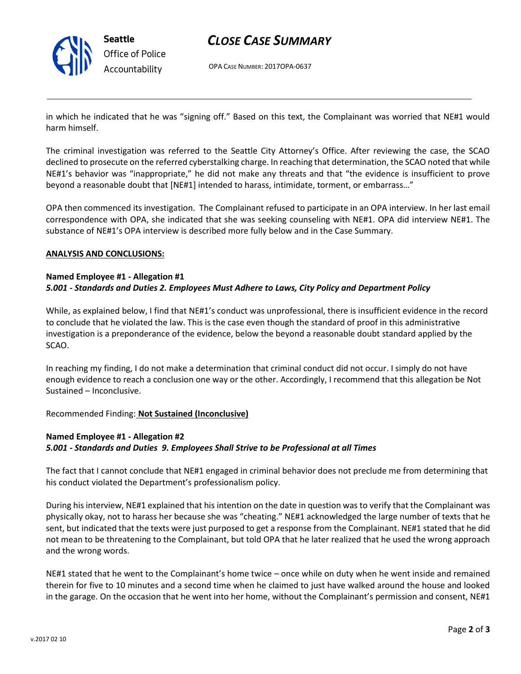

### *CLOSE CASE SUMMARY*

OPA CASE NUMBER: 2017OPA-0637

in which he indicated that he was "signing off." Based on this text, the Complainant was worried that NE#1 would harm himself.

The criminal investigation was referred to the Seattle City Attorney's Office. After reviewing the case, the SCAO declined to prosecute on the referred cyberstalking charge. In reaching that determination, the SCAO noted that while NE#1's behavior was "inappropriate," he did not make any threats and that "the evidence is insufficient to prove beyond a reasonable doubt that [NE#1] intended to harass, intimidate, torment, or embarrass…"

OPA then commenced its investigation. The Complainant refused to participate in an OPA interview. In her last email correspondence with OPA, she indicated that she was seeking counseling with NE#1. OPA did interview NE#1. The substance of NE#1's OPA interview is described more fully below and in the Case Summary.

#### **ANALYSIS AND CONCLUSIONS:**

### **Named Employee #1 - Allegation #1** *5.001 - Standards and Duties 2. Employees Must Adhere to Laws, City Policy and Department Policy*

While, as explained below, I find that NE#1's conduct was unprofessional, there is insufficient evidence in the record to conclude that he violated the law. This is the case even though the standard of proof in this administrative investigation is a preponderance of the evidence, below the beyond a reasonable doubt standard applied by the SCAO.

In reaching my finding, I do not make a determination that criminal conduct did not occur. I simply do not have enough evidence to reach a conclusion one way or the other. Accordingly, I recommend that this allegation be Not Sustained – Inconclusive.

Recommended Finding: **Not Sustained (Inconclusive)**

### **Named Employee #1 - Allegation #2** *5.001 - Standards and Duties 9. Employees Shall Strive to be Professional at all Times*

The fact that I cannot conclude that NE#1 engaged in criminal behavior does not preclude me from determining that his conduct violated the Department's professionalism policy.

During his interview, NE#1 explained that his intention on the date in question was to verify that the Complainant was physically okay, not to harass her because she was "cheating." NE#1 acknowledged the large number of texts that he sent, but indicated that the texts were just purposed to get a response from the Complainant. NE#1 stated that he did not mean to be threatening to the Complainant, but told OPA that he later realized that he used the wrong approach and the wrong words.

NE#1 stated that he went to the Complainant's home twice – once while on duty when he went inside and remained therein for five to 10 minutes and a second time when he claimed to just have walked around the house and looked in the garage. On the occasion that he went into her home, without the Complainant's permission and consent, NE#1